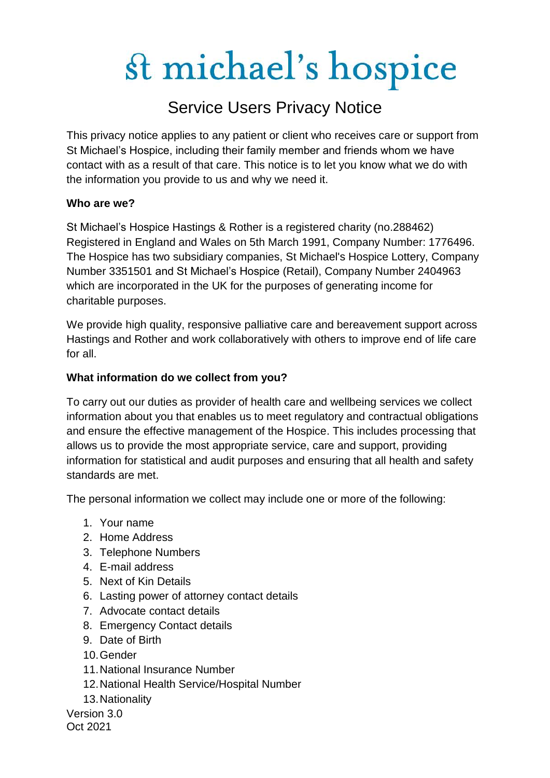### Service Users Privacy Notice

This privacy notice applies to any patient or client who receives care or support from St Michael's Hospice, including their family member and friends whom we have contact with as a result of that care. This notice is to let you know what we do with the information you provide to us and why we need it.

#### **Who are we?**

St Michael's Hospice Hastings & Rother is a registered charity (no.288462) Registered in England and Wales on 5th March 1991, Company Number: 1776496. The Hospice has two subsidiary companies, St Michael's Hospice Lottery, Company Number 3351501 and St Michael's Hospice (Retail), Company Number 2404963 which are incorporated in the UK for the purposes of generating income for charitable purposes.

We provide high quality, responsive palliative care and bereavement support across Hastings and Rother and work collaboratively with others to improve end of life care for all.

#### **What information do we collect from you?**

To carry out our duties as provider of health care and wellbeing services we collect information about you that enables us to meet regulatory and contractual obligations and ensure the effective management of the Hospice. This includes processing that allows us to provide the most appropriate service, care and support, providing information for statistical and audit purposes and ensuring that all health and safety standards are met.

The personal information we collect may include one or more of the following:

- 1. Your name
- 2. Home Address
- 3. Telephone Numbers
- 4. E-mail address
- 5. Next of Kin Details
- 6. Lasting power of attorney contact details
- 7. Advocate contact details
- 8. Emergency Contact details
- 9. Date of Birth
- 10.Gender
- 11.National Insurance Number
- 12.National Health Service/Hospital Number
- 13.Nationality

Version 3.0 Oct 2021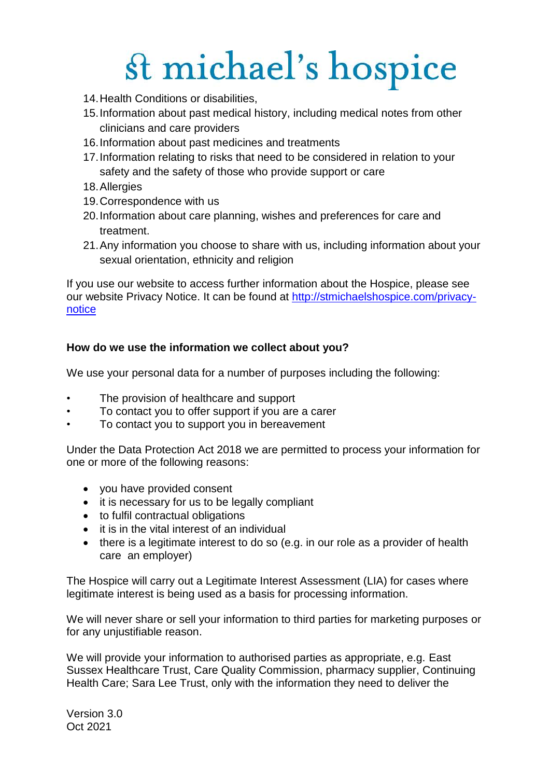- 14.Health Conditions or disabilities,
- 15.Information about past medical history, including medical notes from other clinicians and care providers
- 16.Information about past medicines and treatments
- 17.Information relating to risks that need to be considered in relation to your safety and the safety of those who provide support or care
- 18.Allergies
- 19.Correspondence with us
- 20.Information about care planning, wishes and preferences for care and treatment.
- 21.Any information you choose to share with us, including information about your sexual orientation, ethnicity and religion

If you use our website to access further information about the Hospice, please see our website Privacy Notice. It can be found at [http://stmichaelshospice.com/privacy](http://stmichaelshospice.com/privacy-notice)[notice](http://stmichaelshospice.com/privacy-notice)

#### **How do we use the information we collect about you?**

We use your personal data for a number of purposes including the following:

- The provision of healthcare and support
- To contact you to offer support if you are a carer
- To contact you to support you in bereavement

Under the Data Protection Act 2018 we are permitted to process your information for one or more of the following reasons:

- you have provided consent
- it is necessary for us to be legally compliant
- to fulfil contractual obligations
- it is in the vital interest of an individual
- there is a legitimate interest to do so (e.g. in our role as a provider of health care an employer)

The Hospice will carry out a Legitimate Interest Assessment (LIA) for cases where legitimate interest is being used as a basis for processing information.

We will never share or sell your information to third parties for marketing purposes or for any unjustifiable reason.

We will provide your information to authorised parties as appropriate, e.g. East Sussex Healthcare Trust, Care Quality Commission, pharmacy supplier, Continuing Health Care; Sara Lee Trust, only with the information they need to deliver the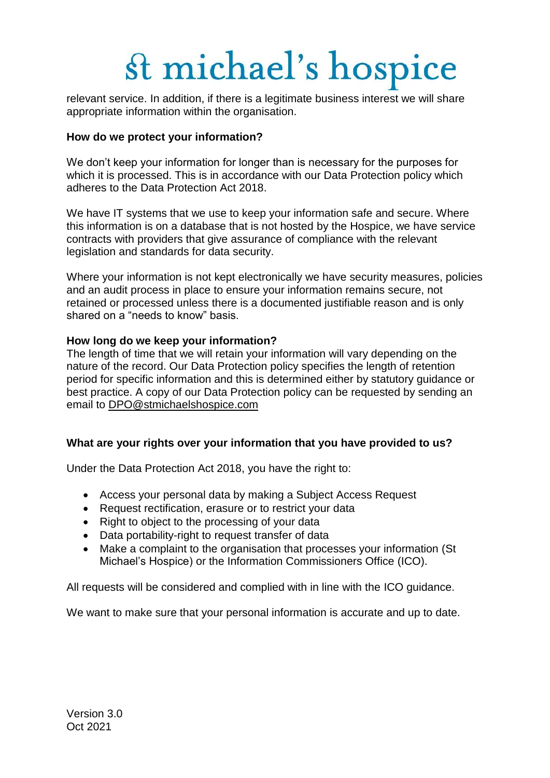relevant service. In addition, if there is a legitimate business interest we will share appropriate information within the organisation.

#### **How do we protect your information?**

We don't keep your information for longer than is necessary for the purposes for which it is processed. This is in accordance with our Data Protection policy which adheres to the Data Protection Act 2018.

We have IT systems that we use to keep your information safe and secure. Where this information is on a database that is not hosted by the Hospice, we have service contracts with providers that give assurance of compliance with the relevant legislation and standards for data security.

Where your information is not kept electronically we have security measures, policies and an audit process in place to ensure your information remains secure, not retained or processed unless there is a documented justifiable reason and is only shared on a "needs to know" basis.

#### **How long do we keep your information?**

The length of time that we will retain your information will vary depending on the nature of the record. Our Data Protection policy specifies the length of retention period for specific information and this is determined either by statutory guidance or best practice. A copy of our Data Protection policy can be requested by sending an email to [DPO@stmichaelshospice.com](mailto:DPO@stmichaelshospice.com)

#### **What are your rights over your information that you have provided to us?**

Under the Data Protection Act 2018, you have the right to:

- Access your personal data by making a Subject Access Request
- Request rectification, erasure or to restrict your data
- Right to object to the processing of your data
- Data portability-right to request transfer of data
- Make a complaint to the organisation that processes your information (St Michael's Hospice) or the Information Commissioners Office (ICO).

All requests will be considered and complied with in line with the ICO guidance.

We want to make sure that your personal information is accurate and up to date.